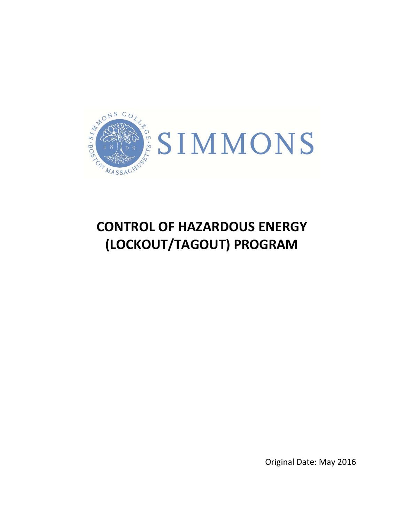

# **CONTROL OF HAZARDOUS ENERGY (LOCKOUT/TAGOUT) PROGRAM**

Original Date: May 2016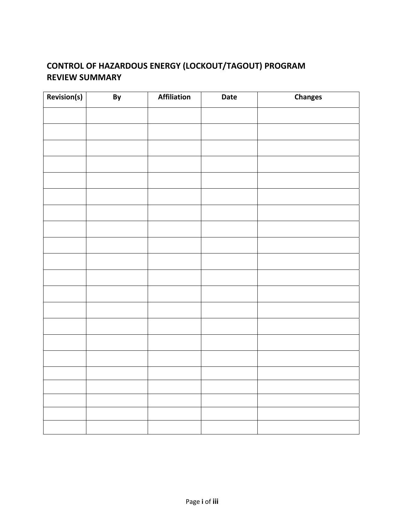# **CONTROL OF HAZARDOUS ENERGY (LOCKOUT/TAGOUT) PROGRAM REVIEW SUMMARY**

| Revision(s) | By | Affiliation | Date | <b>Changes</b> |
|-------------|----|-------------|------|----------------|
|             |    |             |      |                |
|             |    |             |      |                |
|             |    |             |      |                |
|             |    |             |      |                |
|             |    |             |      |                |
|             |    |             |      |                |
|             |    |             |      |                |
|             |    |             |      |                |
|             |    |             |      |                |
|             |    |             |      |                |
|             |    |             |      |                |
|             |    |             |      |                |
|             |    |             |      |                |
|             |    |             |      |                |
|             |    |             |      |                |
|             |    |             |      |                |
|             |    |             |      |                |
|             |    |             |      |                |
|             |    |             |      |                |
|             |    |             |      |                |
|             |    |             |      |                |
|             |    |             |      |                |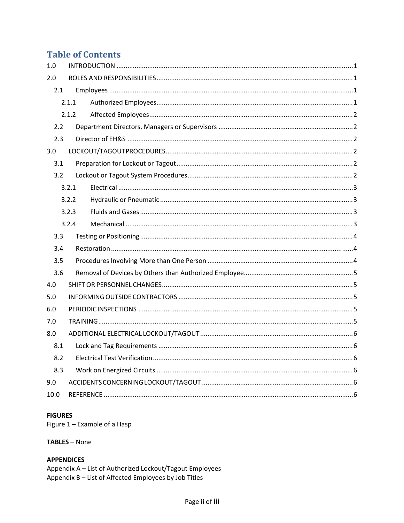## **Table of Contents**

| 1.0  |       |  |
|------|-------|--|
| 2.0  |       |  |
| 2.1  |       |  |
|      | 2.1.1 |  |
|      | 2.1.2 |  |
| 2.2  |       |  |
| 2.3  |       |  |
| 3.0  |       |  |
| 3.1  |       |  |
| 3.2  |       |  |
|      | 3.2.1 |  |
|      | 3.2.2 |  |
|      | 3.2.3 |  |
|      | 3.2.4 |  |
| 3.3  |       |  |
| 3.4  |       |  |
| 3.5  |       |  |
| 3.6  |       |  |
| 4.0  |       |  |
| 5.0  |       |  |
| 6.0  |       |  |
| 7.0  |       |  |
| 8.0  |       |  |
| 8.1  |       |  |
| 8.2  |       |  |
| 8.3  |       |  |
| 9.0  |       |  |
| 10.0 |       |  |

#### **FIGURES**

Figure 1 - Example of a Hasp

#### TABLES - None

## **APPENDICES**

Appendix A - List of Authorized Lockout/Tagout Employees Appendix B - List of Affected Employees by Job Titles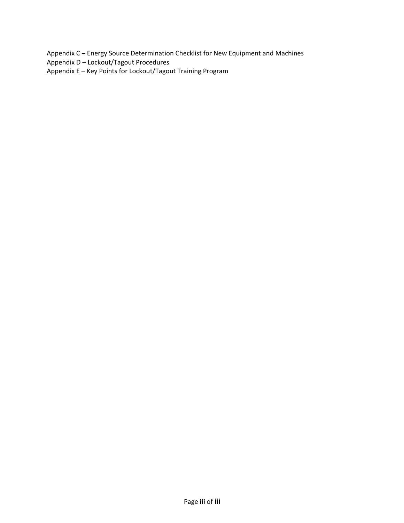Appendix C – Energy Source Determination Checklist for New Equipment and Machines

- Appendix D Lockout/Tagout Procedures
- Appendix E Key Points for Lockout/Tagout Training Program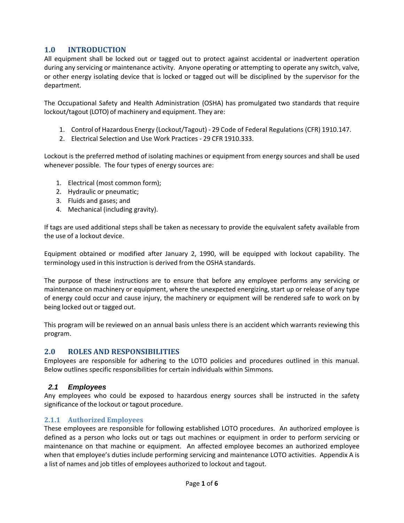## **1.0 INTRODUCTION**

All equipment shall be locked out or tagged out to protect against accidental or inadvertent operation during any servicing or maintenance activity. Anyone operating or attempting to operate any switch, valve, or other energy isolating device that is locked or tagged out will be disciplined by the supervisor for the department.

The Occupational Safety and Health Administration (OSHA) has promulgated two standards that require lockout/tagout (LOTO) of machinery and equipment. They are:

- 1. Control of Hazardous Energy (Lockout/Tagout) ‐ 29 Code of Federal Regulations (CFR) 1910.147.
- 2. Electrical Selection and Use Work Practices ‐ 29 CFR 1910.333.

Lockout is the preferred method of isolating machines or equipment from energy sources and shall be used whenever possible. The four types of energy sources are:

- 1. Electrical (most common form);
- 2. Hydraulic or pneumatic;
- 3. Fluids and gases; and
- 4. Mechanical (including gravity).

If tags are used additional steps shall be taken as necessary to provide the equivalent safety available from the use of a lockout device.

Equipment obtained or modified after January 2, 1990, will be equipped with lockout capability. The terminology used in this instruction is derived from the OSHA standards.

The purpose of these instructions are to ensure that before any employee performs any servicing or maintenance on machinery or equipment, where the unexpected energizing, start up or release of any type of energy could occur and cause injury, the machinery or equipment will be rendered safe to work on by being locked out or tagged out.

This program will be reviewed on an annual basis unless there is an accident which warrants reviewing this program.

## **2.0 ROLES AND RESPONSIBILITIES**

Employees are responsible for adhering to the LOTO policies and procedures outlined in this manual. Below outlines specific responsibilities for certain individuals within Simmons.

## *2.1 Employees*

Any employees who could be exposed to hazardous energy sources shall be instructed in the safety significance of the lockout or tagout procedure.

## **2.1.1 Authorized Employees**

These employees are responsible for following established LOTO procedures. An authorized employee is defined as a person who locks out or tags out machines or equipment in order to perform servicing or maintenance on that machine or equipment. An affected employee becomes an authorized employee when that employee's duties include performing servicing and maintenance LOTO activities. Appendix A is a list of names and job titles of employees authorized to lockout and tagout.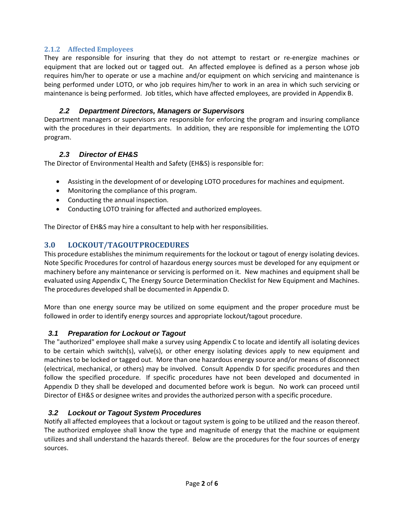## **2.1.2 Affected Employees**

They are responsible for insuring that they do not attempt to restart or re-energize machines or equipment that are locked out or tagged out. An affected employee is defined as a person whose job requires him/her to operate or use a machine and/or equipment on which servicing and maintenance is being performed under LOTO, or who job requires him/her to work in an area in which such servicing or maintenance is being performed. Job titles, which have affected employees, are provided in Appendix B.

## *2.2 Department Directors, Managers or Supervisors*

Department managers or supervisors are responsible for enforcing the program and insuring compliance with the procedures in their departments. In addition, they are responsible for implementing the LOTO program.

## *2.3 Director of EH&S*

The Director of Environmental Health and Safety (EH&S) is responsible for:

- Assisting in the development of or developing LOTO procedures for machines and equipment.
- Monitoring the compliance of this program.
- Conducting the annual inspection.
- Conducting LOTO training for affected and authorized employees.

The Director of EH&S may hire a consultant to help with her responsibilities.

## **3.0 LOCKOUT/TAGOUTPROCEDURES**

This procedure establishes the minimum requirements for the lockout or tagout of energy isolating devices. Note Specific Procedures for control of hazardous energy sources must be developed for any equipment or machinery before any maintenance or servicing is performed on it. New machines and equipment shall be evaluated using Appendix C, The Energy Source Determination Checklist for New Equipment and Machines. The procedures developed shall be documented in Appendix D.

More than one energy source may be utilized on some equipment and the proper procedure must be followed in order to identify energy sources and appropriate lockout/tagout procedure.

## *3.1 Preparation for Lockout or Tagout*

The "authorized" employee shall make a survey using Appendix C to locate and identify all isolating devices to be certain which switch(s), valve(s), or other energy isolating devices apply to new equipment and machines to be locked or tagged out. More than one hazardous energy source and/or means of disconnect (electrical, mechanical, or others) may be involved. Consult Appendix D for specific procedures and then follow the specified procedure. If specific procedures have not been developed and documented in Appendix D they shall be developed and documented before work is begun. No work can proceed until Director of EH&S or designee writes and provides the authorized person with a specific procedure.

## *3.2 Lockout or Tagout System Procedures*

Notify all affected employees that a lockout or tagout system is going to be utilized and the reason thereof. The authorized employee shall know the type and magnitude of energy that the machine or equipment utilizes and shall understand the hazards thereof. Below are the procedures for the four sources of energy sources.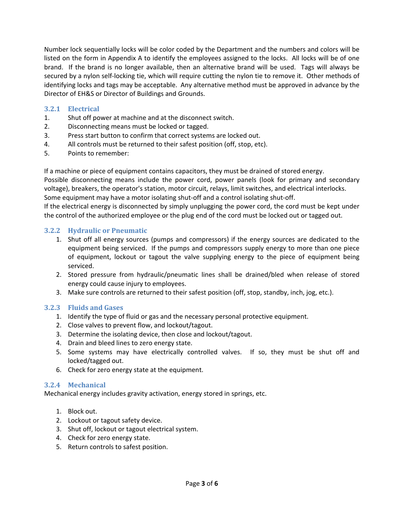Number lock sequentially locks will be color coded by the Department and the numbers and colors will be listed on the form in Appendix A to identify the employees assigned to the locks. All locks will be of one brand. If the brand is no longer available, then an alternative brand will be used. Tags will always be secured by a nylon self-locking tie, which will require cutting the nylon tie to remove it. Other methods of identifying locks and tags may be acceptable. Any alternative method must be approved in advance by the Director of EH&S or Director of Buildings and Grounds.

## **3.2.1 Electrical**

- 1. Shut off power at machine and at the disconnect switch.
- 2. Disconnecting means must be locked or tagged.
- 3. Press start button to confirm that correct systems are locked out.
- 4. All controls must be returned to their safest position (off, stop, etc).
- 5. Points to remember:

If a machine or piece of equipment contains capacitors, they must be drained of stored energy.

Possible disconnecting means include the power cord, power panels (look for primary and secondary voltage), breakers, the operator's station, motor circuit, relays, limit switches, and electrical interlocks. Some equipment may have a motor isolating shut-off and a control isolating shut-off.

If the electrical energy is disconnected by simply unplugging the power cord, the cord must be kept under the control of the authorized employee or the plug end of the cord must be locked out or tagged out.

## **3.2.2 Hydraulic or Pneumatic**

- 1. Shut off all energy sources (pumps and compressors) if the energy sources are dedicated to the equipment being serviced. If the pumps and compressors supply energy to more than one piece of equipment, lockout or tagout the valve supplying energy to the piece of equipment being serviced.
- 2. Stored pressure from hydraulic/pneumatic lines shall be drained/bled when release of stored energy could cause injury to employees.
- 3. Make sure controls are returned to their safest position (off, stop, standby, inch, jog, etc.).

## **3.2.3 Fluids and Gases**

- 1. Identify the type of fluid or gas and the necessary personal protective equipment.
- 2. Close valves to prevent flow, and lockout/tagout.
- 3. Determine the isolating device, then close and lockout/tagout.
- 4. Drain and bleed lines to zero energy state.
- 5. Some systems may have electrically controlled valves. If so, they must be shut off and locked/tagged out.
- 6. Check for zero energy state at the equipment.

## **3.2.4 Mechanical**

Mechanical energy includes gravity activation, energy stored in springs, etc.

- 1. Block out.
- 2. Lockout or tagout safety device.
- 3. Shut off, lockout or tagout electrical system.
- 4. Check for zero energy state.
- 5. Return controls to safest position.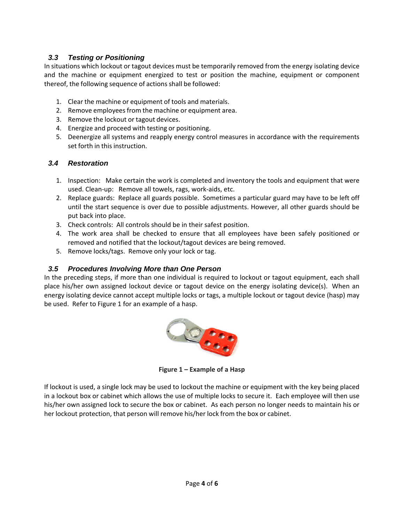## *3.3 Testing or Positioning*

In situations which lockout or tagout devices must be temporarily removed from the energy isolating device and the machine or equipment energized to test or position the machine, equipment or component thereof, the following sequence of actions shall be followed:

- 1. Clear the machine or equipment of tools and materials.
- 2. Remove employees from the machine or equipment area.
- 3. Remove the lockout or tagout devices.
- 4. Energize and proceed with testing or positioning.
- 5. Deenergize all systems and reapply energy control measures in accordance with the requirements set forth in this instruction.

## *3.4 Restoration*

- 1. Inspection: Make certain the work is completed and inventory the tools and equipment that were used. Clean‐up: Remove all towels, rags, work‐aids, etc.
- 2. Replace guards: Replace all guards possible. Sometimes a particular guard may have to be left off until the start sequence is over due to possible adjustments. However, all other guards should be put back into place.
- 3. Check controls: All controls should be in their safest position.
- 4. The work area shall be checked to ensure that all employees have been safely positioned or removed and notified that the lockout/tagout devices are being removed.
- 5. Remove locks/tags. Remove only your lock or tag.

## *3.5 Procedures Involving More than One Person*

In the preceding steps, if more than one individual is required to lockout or tagout equipment, each shall place his/her own assigned lockout device or tagout device on the energy isolating device(s). When an energy isolating device cannot accept multiple locks or tags, a multiple lockout or tagout device (hasp) may be used. Refer to Figure 1 for an example of a hasp.



**Figure 1 – Example of a Hasp**

If lockout is used, a single lock may be used to lockout the machine or equipment with the key being placed in a lockout box or cabinet which allows the use of multiple locks to secure it. Each employee will then use his/her own assigned lock to secure the box or cabinet. As each person no longer needs to maintain his or her lockout protection, that person will remove his/her lock from the box or cabinet.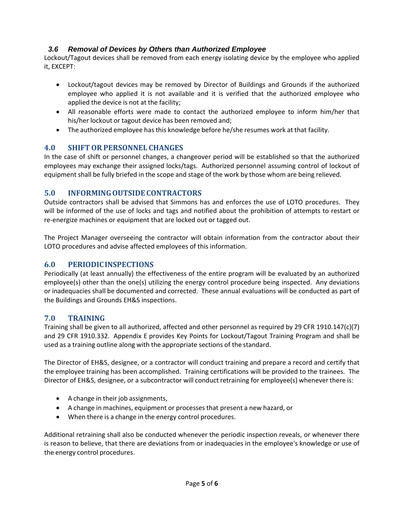## *3.6 Removal of Devices by Others than Authorized Employee*

Lockout/Tagout devices shall be removed from each energy isolating device by the employee who applied it, EXCEPT:

- Lockout/tagout devices may be removed by Director of Buildings and Grounds if the authorized employee who applied it is not available and it is verified that the authorized employee who applied the device is not at the facility;
- All reasonable efforts were made to contact the authorized employee to inform him/her that his/her lockout or tagout device has been removed and;
- The authorized employee has this knowledge before he/she resumes work at that facility.

## **4.0 SHIFTOR PERSONNEL CHANGES**

In the case of shift or personnel changes, a changeover period will be established so that the authorized employees may exchange their assigned locks/tags. Authorized personnel assuming control of lockout of equipment shall be fully briefed in the scope and stage of the work by those whom are being relieved.

## **5.0 INFORMINGOUTSIDECONTRACTORS**

Outside contractors shall be advised that Simmons has and enforces the use of LOTO procedures. They will be informed of the use of locks and tags and notified about the prohibition of attempts to restart or re‐energize machines or equipment that are locked out or tagged out.

The Project Manager overseeing the contractor will obtain information from the contractor about their LOTO procedures and advise affected employees of this information.

## **6.0 PERIODICINSPECTIONS**

Periodically (at least annually) the effectiveness of the entire program will be evaluated by an authorized employee(s) other than the one(s) utilizing the energy control procedure being inspected. Any deviations or inadequacies shall be documented and corrected. These annual evaluations will be conducted as part of the Buildings and Grounds EH&S inspections.

## **7.0 TRAINING**

Training shall be given to all authorized, affected and other personnel as required by 29 CFR 1910.147(c)(7) and 29 CFR 1910.332. Appendix E provides Key Points for Lockout/Tagout Training Program and shall be used as a training outline along with the appropriate sections of the standard.

The Director of EH&S, designee, or a contractor will conduct training and prepare a record and certify that the employee training has been accomplished. Training certifications will be provided to the trainees. The Director of EH&S, designee, or a subcontractor will conduct retraining for employee(s) whenever there is:

- A change in their job assignments,
- A change in machines, equipment or processesthat present a new hazard, or
- When there is a change in the energy control procedures.

Additional retraining shall also be conducted whenever the periodic inspection reveals, or whenever there is reason to believe, that there are deviations from or inadequacies in the employee's knowledge or use of the energy control procedures.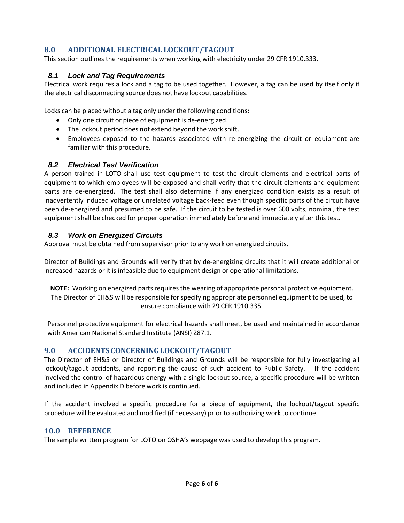## **8.0 ADDITIONAL ELECTRICAL LOCKOUT/TAGOUT**

This section outlines the requirements when working with electricity under 29 CFR 1910.333.

## *8.1 Lock and Tag Requirements*

Electrical work requires a lock and a tag to be used together. However, a tag can be used by itself only if the electrical disconnecting source does not have lockout capabilities.

Locks can be placed without a tag only under the following conditions:

- Only one circuit or piece of equipment is de-energized.
- The lockout period does not extend beyond the work shift.
- Employees exposed to the hazards associated with re-energizing the circuit or equipment are familiar with this procedure.

## *8.2 Electrical Test Verification*

A person trained in LOTO shall use test equipment to test the circuit elements and electrical parts of equipment to which employees will be exposed and shall verify that the circuit elements and equipment parts are de‐energized. The test shall also determine if any energized condition exists as a result of inadvertently induced voltage or unrelated voltage back‐feed even though specific parts of the circuit have been de‐energized and presumed to be safe. If the circuit to be tested is over 600 volts, nominal, the test equipment shall be checked for proper operation immediately before and immediately after this test.

## *8.3 Work on Energized Circuits*

Approval must be obtained from supervisor prior to any work on energized circuits.

Director of Buildings and Grounds will verify that by de‐energizing circuits that it will create additional or increased hazards or it is infeasible due to equipment design or operational limitations.

**NOTE:** Working on energized parts requires the wearing of appropriate personal protective equipment. The Director of EH&S will be responsible forspecifying appropriate personnel equipment to be used, to ensure compliance with 29 CFR 1910.335.

Personnel protective equipment for electrical hazards shall meet, be used and maintained in accordance with American National Standard Institute (ANSI) Z87.1.

## **9.0 ACCIDENTSCONCERNINGLOCKOUT/TAGOUT**

The Director of EH&S or Director of Buildings and Grounds will be responsible for fully investigating all lockout/tagout accidents, and reporting the cause of such accident to Public Safety. If the accident involved the control of hazardous energy with a single lockout source, a specific procedure will be written and included in Appendix D before work is continued.

If the accident involved a specific procedure for a piece of equipment, the lockout/tagout specific procedure will be evaluated and modified (if necessary) prior to authorizing work to continue.

## **10.0 REFERENCE**

The sample written program for LOTO on OSHA's webpage was used to develop this program.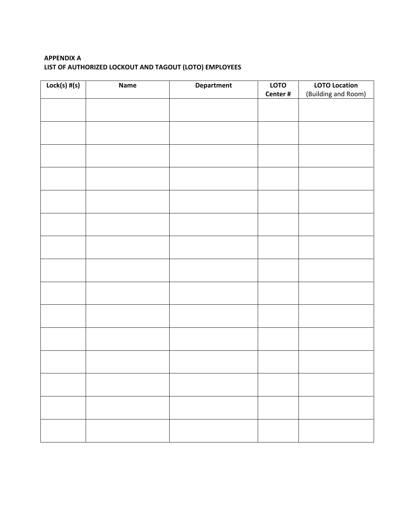## **APPENDIX A LIST OF AUTHORIZED LOCKOUT AND TAGOUT (LOTO) EMPLOYEES**

| $Lock(s)$ # $(s)$ | Name | <b>Department</b> | LOTO    | <b>LOTO Location</b> |
|-------------------|------|-------------------|---------|----------------------|
|                   |      |                   | Center# | (Building and Room)  |
|                   |      |                   |         |                      |
|                   |      |                   |         |                      |
|                   |      |                   |         |                      |
|                   |      |                   |         |                      |
|                   |      |                   |         |                      |
|                   |      |                   |         |                      |
|                   |      |                   |         |                      |
|                   |      |                   |         |                      |
|                   |      |                   |         |                      |
|                   |      |                   |         |                      |
|                   |      |                   |         |                      |
|                   |      |                   |         |                      |
|                   |      |                   |         |                      |
|                   |      |                   |         |                      |
|                   |      |                   |         |                      |
|                   |      |                   |         |                      |
|                   |      |                   |         |                      |
|                   |      |                   |         |                      |
|                   |      |                   |         |                      |
|                   |      |                   |         |                      |
|                   |      |                   |         |                      |
|                   |      |                   |         |                      |
|                   |      |                   |         |                      |
|                   |      |                   |         |                      |
|                   |      |                   |         |                      |
|                   |      |                   |         |                      |
|                   |      |                   |         |                      |
|                   |      |                   |         |                      |
|                   |      |                   |         |                      |
|                   |      |                   |         |                      |
|                   |      |                   |         |                      |
|                   |      |                   |         |                      |
|                   |      |                   |         |                      |
|                   |      |                   |         |                      |
|                   |      |                   |         |                      |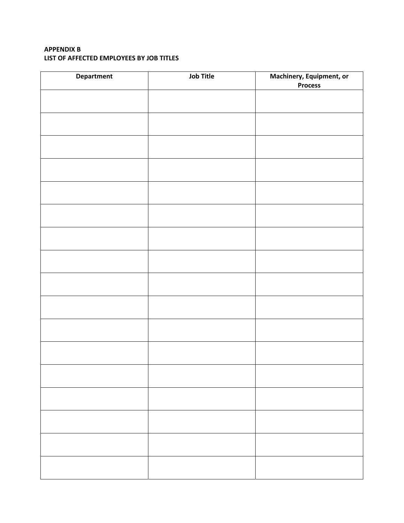#### **APPENDIX B LIST OF AFFECTED EMPLOYEES BY JOB TITLES**

| Department | <b>Job Title</b> | Machinery, Equipment, or<br><b>Process</b> |  |  |  |  |
|------------|------------------|--------------------------------------------|--|--|--|--|
|            |                  |                                            |  |  |  |  |
|            |                  |                                            |  |  |  |  |
|            |                  |                                            |  |  |  |  |
|            |                  |                                            |  |  |  |  |
|            |                  |                                            |  |  |  |  |
|            |                  |                                            |  |  |  |  |
|            |                  |                                            |  |  |  |  |
|            |                  |                                            |  |  |  |  |
|            |                  |                                            |  |  |  |  |
|            |                  |                                            |  |  |  |  |
|            |                  |                                            |  |  |  |  |
|            |                  |                                            |  |  |  |  |
|            |                  |                                            |  |  |  |  |
|            |                  |                                            |  |  |  |  |
|            |                  |                                            |  |  |  |  |
|            |                  |                                            |  |  |  |  |
|            |                  |                                            |  |  |  |  |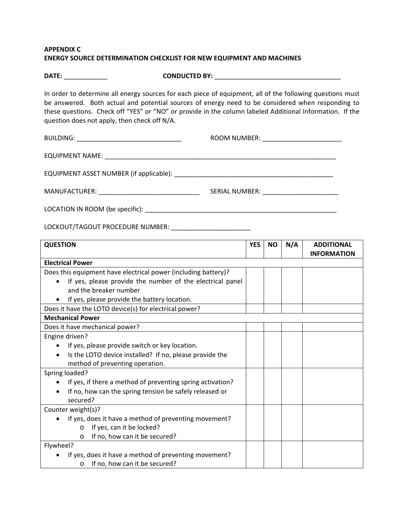#### **APPENDIX C ENERGY SOURCE DETERMINATION CHECKLIST FOR NEW EQUIPMENT AND MACHINES**

**DATE:** \_\_\_\_\_\_\_\_\_\_\_\_ **CONDUCTED BY:** \_\_\_\_\_\_\_\_\_\_\_\_\_\_\_\_\_\_\_\_\_\_\_\_\_\_\_\_\_\_\_\_\_\_\_

In order to determine all energy sources for each piece of equipment, all of the following questions must be answered. Both actual and potential sources of energy need to be considered when responding to these questions. Check off "YES" or "NO" or provide in the column labeled Additional Information. If the question does not apply, then check off N/A.

BUILDING: \_\_\_\_\_\_\_\_\_\_\_\_\_\_\_\_\_\_\_\_\_\_\_\_\_\_\_\_\_ ROOM NUMBER: \_\_\_\_\_\_\_\_\_\_\_\_\_\_\_\_\_\_\_\_\_\_

EQUIPMENT NAME: \_\_\_\_\_\_\_\_\_\_\_\_\_\_\_\_\_\_\_\_\_\_\_\_\_\_\_\_\_\_\_\_\_\_\_\_\_\_\_\_\_\_\_\_\_\_\_\_\_\_\_\_\_\_\_\_\_\_\_\_\_\_\_\_

EQUIPMENT ASSET NUMBER (if applicable): \_\_\_\_\_\_\_\_\_\_\_\_\_\_\_\_\_\_\_\_\_\_\_\_\_\_\_\_\_\_\_\_\_\_\_\_\_\_\_\_\_\_\_\_

MANUFACTURER: \_\_\_\_\_\_\_\_\_\_\_\_\_\_\_\_\_\_\_\_\_\_\_\_\_\_\_\_ SERIAL NUMBER: \_\_\_\_\_\_\_\_\_\_\_\_\_\_\_\_\_\_\_\_\_

LOCATION IN ROOM (be specific): \_\_\_\_\_\_\_\_\_\_\_\_\_\_\_\_\_\_\_\_\_\_\_\_\_\_\_\_\_\_\_\_\_\_\_\_\_\_\_\_\_\_\_\_\_\_\_\_\_\_\_\_\_

LOCKOUT/TAGOUT PROCEDURE NUMBER: \_\_\_\_\_\_\_\_\_\_\_\_\_\_\_\_\_\_\_\_\_\_

| <b>QUESTION</b>                                                | <b>YES</b> | <b>NO</b> | N/A | <b>ADDITIONAL</b><br><b>INFORMATION</b> |
|----------------------------------------------------------------|------------|-----------|-----|-----------------------------------------|
| <b>Electrical Power</b>                                        |            |           |     |                                         |
| Does this equipment have electrical power (including battery)? |            |           |     |                                         |
| If yes, please provide the number of the electrical panel      |            |           |     |                                         |
| and the breaker number                                         |            |           |     |                                         |
| If yes, please provide the battery location.                   |            |           |     |                                         |
| Does it have the LOTO device(s) for electrical power?          |            |           |     |                                         |
| <b>Mechanical Power</b>                                        |            |           |     |                                         |
| Does it have mechanical power?                                 |            |           |     |                                         |
| Engine driven?                                                 |            |           |     |                                         |
| If yes, please provide switch or key location.                 |            |           |     |                                         |
| Is the LOTO device installed? If no, please provide the        |            |           |     |                                         |
| method of preventing operation.                                |            |           |     |                                         |
| Spring loaded?                                                 |            |           |     |                                         |
| If yes, if there a method of preventing spring activation?     |            |           |     |                                         |
| If no, how can the spring tension be safely released or        |            |           |     |                                         |
| secured?                                                       |            |           |     |                                         |
| Counter weight(s)?                                             |            |           |     |                                         |
| If yes, does it have a method of preventing movement?          |            |           |     |                                         |
| If yes, can it be locked?<br>$\circ$                           |            |           |     |                                         |
| If no, how can it be secured?<br>$\circ$                       |            |           |     |                                         |
| Flywheel?                                                      |            |           |     |                                         |
| If yes, does it have a method of preventing movement?          |            |           |     |                                         |
| If no, how can it be secured?<br>$\circ$                       |            |           |     |                                         |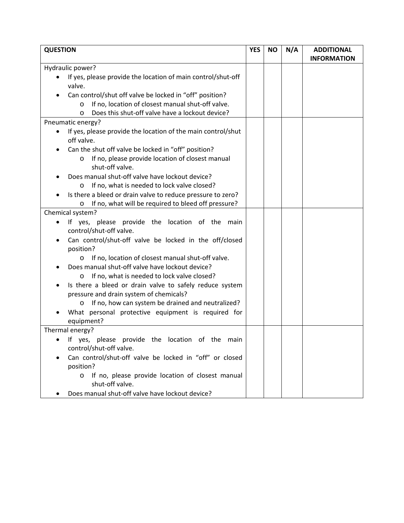| <b>QUESTION</b>                                                                |  | <b>NO</b> | N/A | <b>ADDITIONAL</b><br><b>INFORMATION</b> |
|--------------------------------------------------------------------------------|--|-----------|-----|-----------------------------------------|
| Hydraulic power?                                                               |  |           |     |                                         |
| If yes, please provide the location of main control/shut-off                   |  |           |     |                                         |
| valve.                                                                         |  |           |     |                                         |
| Can control/shut off valve be locked in "off" position?                        |  |           |     |                                         |
| If no, location of closest manual shut-off valve.<br>$\circ$                   |  |           |     |                                         |
| Does this shut-off valve have a lockout device?<br>$\circ$                     |  |           |     |                                         |
| Pneumatic energy?                                                              |  |           |     |                                         |
| If yes, please provide the location of the main control/shut<br>٠              |  |           |     |                                         |
| off valve.                                                                     |  |           |     |                                         |
| Can the shut off valve be locked in "off" position?                            |  |           |     |                                         |
| If no, please provide location of closest manual<br>O<br>shut-off valve.       |  |           |     |                                         |
| Does manual shut-off valve have lockout device?                                |  |           |     |                                         |
| If no, what is needed to lock valve closed?<br>O                               |  |           |     |                                         |
| Is there a bleed or drain valve to reduce pressure to zero?                    |  |           |     |                                         |
| If no, what will be required to bleed off pressure?<br>O                       |  |           |     |                                         |
| Chemical system?                                                               |  |           |     |                                         |
| If yes, please provide the location of the main                                |  |           |     |                                         |
| control/shut-off valve.                                                        |  |           |     |                                         |
| Can control/shut-off valve be locked in the off/closed                         |  |           |     |                                         |
| position?                                                                      |  |           |     |                                         |
| If no, location of closest manual shut-off valve.<br>O                         |  |           |     |                                         |
| Does manual shut-off valve have lockout device?                                |  |           |     |                                         |
| If no, what is needed to lock valve closed?<br>O                               |  |           |     |                                         |
| Is there a bleed or drain valve to safely reduce system                        |  |           |     |                                         |
| pressure and drain system of chemicals?                                        |  |           |     |                                         |
| If no, how can system be drained and neutralized?<br>O                         |  |           |     |                                         |
| What personal protective equipment is required for                             |  |           |     |                                         |
| equipment?                                                                     |  |           |     |                                         |
| Thermal energy?                                                                |  |           |     |                                         |
| • If yes, please provide the location of the main                              |  |           |     |                                         |
| control/shut-off valve.                                                        |  |           |     |                                         |
| Can control/shut-off valve be locked in "off" or closed<br>position?           |  |           |     |                                         |
| If no, please provide location of closest manual<br>$\circ$<br>shut-off valve. |  |           |     |                                         |
| Does manual shut-off valve have lockout device?                                |  |           |     |                                         |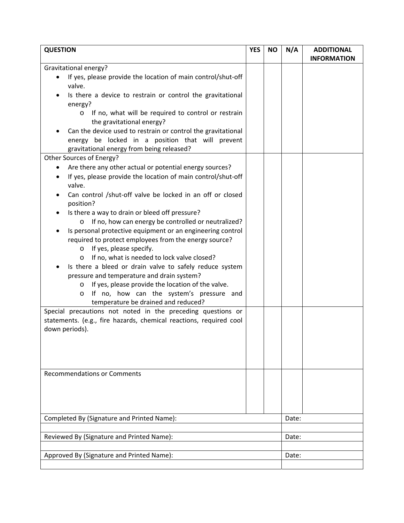| <b>QUESTION</b>                                                                                                                                                                                                                                                                                                                                                                                                                                                                                                                                                                                                                                                                  | <b>YES</b> | <b>NO</b> | N/A   | <b>ADDITIONAL</b><br><b>INFORMATION</b> |
|----------------------------------------------------------------------------------------------------------------------------------------------------------------------------------------------------------------------------------------------------------------------------------------------------------------------------------------------------------------------------------------------------------------------------------------------------------------------------------------------------------------------------------------------------------------------------------------------------------------------------------------------------------------------------------|------------|-----------|-------|-----------------------------------------|
| Gravitational energy?<br>If yes, please provide the location of main control/shut-off<br>valve.<br>Is there a device to restrain or control the gravitational<br>energy?<br>If no, what will be required to control or restrain<br>$\circ$<br>the gravitational energy?<br>Can the device used to restrain or control the gravitational<br>energy be locked in a position that will prevent<br>gravitational energy from being released?<br>Other Sources of Energy?<br>Are there any other actual or potential energy sources?<br>If yes, please provide the location of main control/shut-off                                                                                  |            |           |       |                                         |
| valve.<br>Can control /shut-off valve be locked in an off or closed<br>position?<br>Is there a way to drain or bleed off pressure?<br>o If no, how can energy be controlled or neutralized?<br>Is personal protective equipment or an engineering control<br>required to protect employees from the energy source?<br>$\circ$ If yes, please specify.<br>If no, what is needed to lock valve closed?<br>$\circ$<br>Is there a bleed or drain valve to safely reduce system<br>pressure and temperature and drain system?<br>If yes, please provide the location of the valve.<br>$\circ$<br>If no, how can the system's pressure and<br>O<br>temperature be drained and reduced? |            |           |       |                                         |
| Special precautions not noted in the preceding questions or<br>statements. (e.g., fire hazards, chemical reactions, required cool<br>down periods).                                                                                                                                                                                                                                                                                                                                                                                                                                                                                                                              |            |           |       |                                         |
| <b>Recommendations or Comments</b>                                                                                                                                                                                                                                                                                                                                                                                                                                                                                                                                                                                                                                               |            |           |       |                                         |
| Completed By (Signature and Printed Name):                                                                                                                                                                                                                                                                                                                                                                                                                                                                                                                                                                                                                                       |            |           | Date: |                                         |
| Reviewed By (Signature and Printed Name):                                                                                                                                                                                                                                                                                                                                                                                                                                                                                                                                                                                                                                        |            |           | Date: |                                         |
| Approved By (Signature and Printed Name):                                                                                                                                                                                                                                                                                                                                                                                                                                                                                                                                                                                                                                        |            |           | Date: |                                         |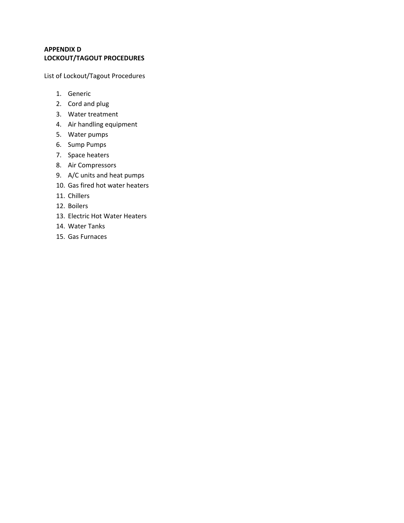#### **APPENDIX D LOCKOUT/TAGOUT PROCEDURES**

List of Lockout/Tagout Procedures

- 1. Generic
- 2. Cord and plug
- 3. Water treatment
- 4. Air handling equipment
- 5. Water pumps
- 6. Sump Pumps
- 7. Space heaters
- 8. Air Compressors
- 9. A/C units and heat pumps
- 10. Gas fired hot water heaters
- 11. Chillers
- 12. Boilers
- 13. Electric Hot Water Heaters
- 14. Water Tanks
- 15. Gas Furnaces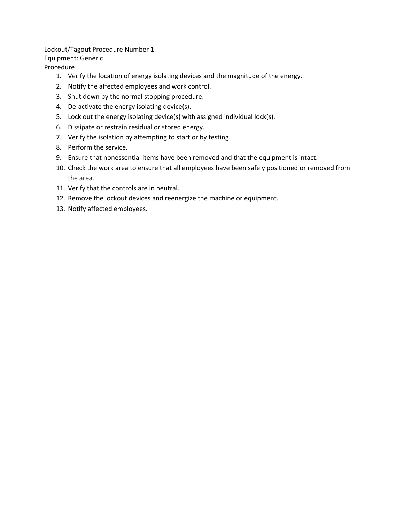Lockout/Tagout Procedure Number 1 Equipment: Generic

Procedure

- 1. Verify the location of energy isolating devices and the magnitude of the energy.
- 2. Notify the affected employees and work control.
- 3. Shut down by the normal stopping procedure.
- 4. De-activate the energy isolating device(s).
- 5. Lock out the energy isolating device(s) with assigned individual lock(s).
- 6. Dissipate or restrain residual or stored energy.
- 7. Verify the isolation by attempting to start or by testing.
- 8. Perform the service.
- 9. Ensure that nonessential items have been removed and that the equipment is intact.
- 10. Check the work area to ensure that all employees have been safely positioned or removed from the area.
- 11. Verify that the controls are in neutral.
- 12. Remove the lockout devices and reenergize the machine or equipment.
- 13. Notify affected employees.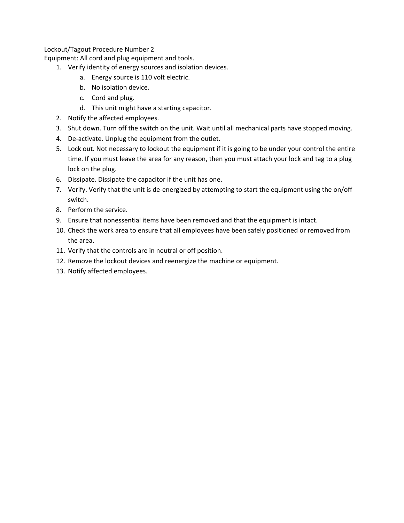Equipment: All cord and plug equipment and tools.

- 1. Verify identity of energy sources and isolation devices.
	- a. Energy source is 110 volt electric.
	- b. No isolation device.
	- c. Cord and plug.
	- d. This unit might have a starting capacitor.
- 2. Notify the affected employees.
- 3. Shut down. Turn off the switch on the unit. Wait until all mechanical parts have stopped moving.
- 4. De-activate. Unplug the equipment from the outlet.
- 5. Lock out. Not necessary to lockout the equipment if it is going to be under your control the entire time. If you must leave the area for any reason, then you must attach your lock and tag to a plug lock on the plug.
- 6. Dissipate. Dissipate the capacitor if the unit has one.
- 7. Verify. Verify that the unit is de-energized by attempting to start the equipment using the on/off switch.
- 8. Perform the service.
- 9. Ensure that nonessential items have been removed and that the equipment is intact.
- 10. Check the work area to ensure that all employees have been safely positioned or removed from the area.
- 11. Verify that the controls are in neutral or off position.
- 12. Remove the lockout devices and reenergize the machine or equipment.
- 13. Notify affected employees.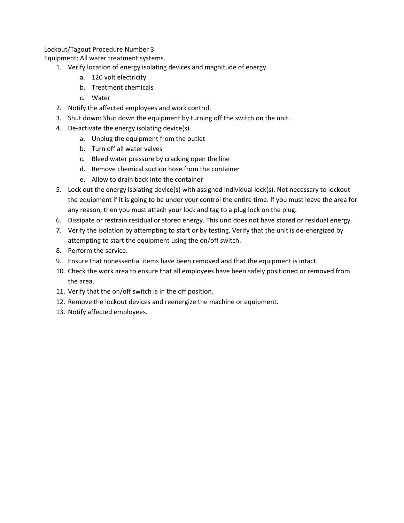Equipment: All water treatment systems.

- 1. Verify location of energy isolating devices and magnitude of energy.
	- a. 120 volt electricity
	- b. Treatment chemicals
	- c. Water
- 2. Notify the affected employees and work control.
- 3. Shut down: Shut down the equipment by turning off the switch on the unit.
- 4. De-activate the energy isolating device(s).
	- a. Unplug the equipment from the outlet
	- b. Turn off all water valves
	- c. Bleed water pressure by cracking open the line
	- d. Remove chemical suction hose from the container
	- e. Allow to drain back into the container
- 5. Lock out the energy isolating device(s) with assigned individual lock(s). Not necessary to lockout the equipment if it is going to be under your control the entire time. If you must leave the area for any reason, then you must attach your lock and tag to a plug lock on the plug.
- 6. Dissipate or restrain residual or stored energy. This unit does not have stored or residual energy.
- 7. Verify the isolation by attempting to start or by testing. Verify that the unit is de-energized by attempting to start the equipment using the on/off switch.
- 8. Perform the service.
- 9. Ensure that nonessential items have been removed and that the equipment is intact.
- 10. Check the work area to ensure that all employees have been safely positioned or removed from the area.
- 11. Verify that the on/off switch is in the off position.
- 12. Remove the lockout devices and reenergize the machine or equipment.
- 13. Notify affected employees.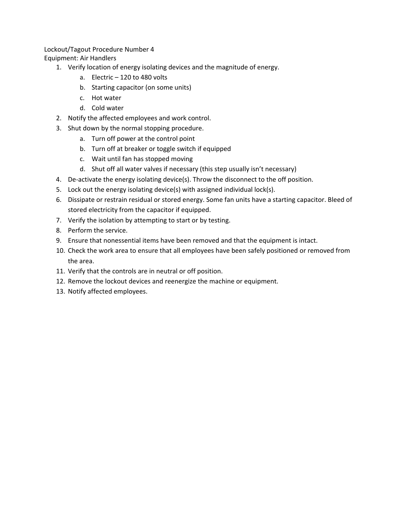Equipment: Air Handlers

- 1. Verify location of energy isolating devices and the magnitude of energy.
	- a. Electric 120 to 480 volts
	- b. Starting capacitor (on some units)
	- c. Hot water
	- d. Cold water
- 2. Notify the affected employees and work control.
- 3. Shut down by the normal stopping procedure.
	- a. Turn off power at the control point
	- b. Turn off at breaker or toggle switch if equipped
	- c. Wait until fan has stopped moving
	- d. Shut off all water valves if necessary (this step usually isn't necessary)
- 4. De-activate the energy isolating device(s). Throw the disconnect to the off position.
- 5. Lock out the energy isolating device(s) with assigned individual lock(s).
- 6. Dissipate or restrain residual or stored energy. Some fan units have a starting capacitor. Bleed of stored electricity from the capacitor if equipped.
- 7. Verify the isolation by attempting to start or by testing.
- 8. Perform the service.
- 9. Ensure that nonessential items have been removed and that the equipment is intact.
- 10. Check the work area to ensure that all employees have been safely positioned or removed from the area.
- 11. Verify that the controls are in neutral or off position.
- 12. Remove the lockout devices and reenergize the machine or equipment.
- 13. Notify affected employees.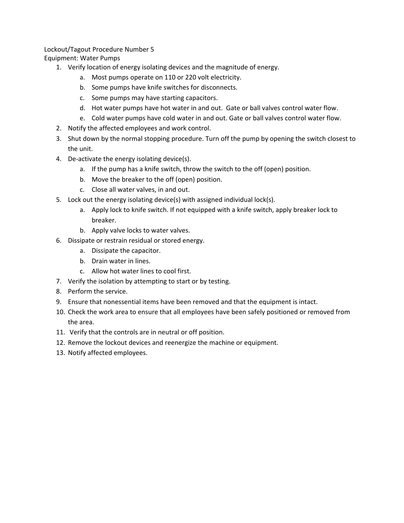Equipment: Water Pumps

- 1. Verify location of energy isolating devices and the magnitude of energy.
	- a. Most pumps operate on 110 or 220 volt electricity.
	- b. Some pumps have knife switches for disconnects.
	- c. Some pumps may have starting capacitors.
	- d. Hot water pumps have hot water in and out. Gate or ball valves control water flow.
	- e. Cold water pumps have cold water in and out. Gate or ball valves control water flow.
- 2. Notify the affected employees and work control.
- 3. Shut down by the normal stopping procedure. Turn off the pump by opening the switch closest to the unit.
- 4. De-activate the energy isolating device(s).
	- a. If the pump has a knife switch, throw the switch to the off (open) position.
	- b. Move the breaker to the off (open) position.
	- c. Close all water valves, in and out.
- 5. Lock out the energy isolating device(s) with assigned individual lock(s).
	- a. Apply lock to knife switch. If not equipped with a knife switch, apply breaker lock to breaker.
	- b. Apply valve locks to water valves.
- 6. Dissipate or restrain residual or stored energy.
	- a. Dissipate the capacitor.
	- b. Drain water in lines.
	- c. Allow hot water lines to cool first.
- 7. Verify the isolation by attempting to start or by testing.
- 8. Perform the service.
- 9. Ensure that nonessential items have been removed and that the equipment is intact.
- 10. Check the work area to ensure that all employees have been safely positioned or removed from the area.
- 11. Verify that the controls are in neutral or off position.
- 12. Remove the lockout devices and reenergize the machine or equipment.
- 13. Notify affected employees.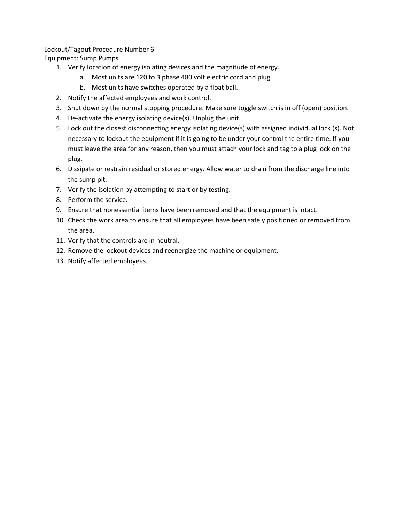Equipment: Sump Pumps

- 1. Verify location of energy isolating devices and the magnitude of energy.
	- a. Most units are 120 to 3 phase 480 volt electric cord and plug.
	- b. Most units have switches operated by a float ball.
- 2. Notify the affected employees and work control.
- 3. Shut down by the normal stopping procedure. Make sure toggle switch is in off (open) position.
- 4. De-activate the energy isolating device(s). Unplug the unit.
- 5. Lock out the closest disconnecting energy isolating device(s) with assigned individual lock (s). Not necessary to lockout the equipment if it is going to be under your control the entire time. If you must leave the area for any reason, then you must attach your lock and tag to a plug lock on the plug.
- 6. Dissipate or restrain residual or stored energy. Allow water to drain from the discharge line into the sump pit.
- 7. Verify the isolation by attempting to start or by testing.
- 8. Perform the service.
- 9. Ensure that nonessential items have been removed and that the equipment is intact.
- 10. Check the work area to ensure that all employees have been safely positioned or removed from the area.
- 11. Verify that the controls are in neutral.
- 12. Remove the lockout devices and reenergize the machine or equipment.
- 13. Notify affected employees.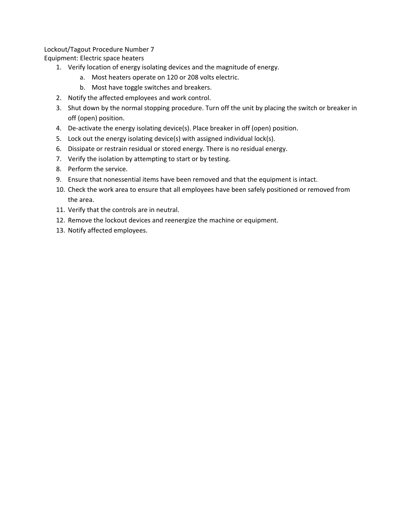Equipment: Electric space heaters

- 1. Verify location of energy isolating devices and the magnitude of energy.
	- a. Most heaters operate on 120 or 208 volts electric.
	- b. Most have toggle switches and breakers.
- 2. Notify the affected employees and work control.
- 3. Shut down by the normal stopping procedure. Turn off the unit by placing the switch or breaker in off (open) position.
- 4. De-activate the energy isolating device(s). Place breaker in off (open) position.
- 5. Lock out the energy isolating device(s) with assigned individual lock(s).
- 6. Dissipate or restrain residual or stored energy. There is no residual energy.
- 7. Verify the isolation by attempting to start or by testing.
- 8. Perform the service.
- 9. Ensure that nonessential items have been removed and that the equipment is intact.
- 10. Check the work area to ensure that all employees have been safely positioned or removed from the area.
- 11. Verify that the controls are in neutral.
- 12. Remove the lockout devices and reenergize the machine or equipment.
- 13. Notify affected employees.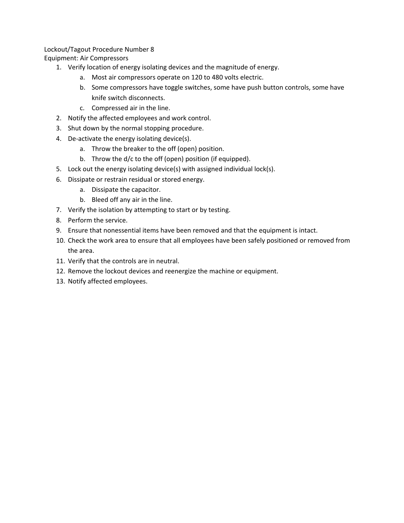Equipment: Air Compressors

- 1. Verify location of energy isolating devices and the magnitude of energy.
	- a. Most air compressors operate on 120 to 480 volts electric.
	- b. Some compressors have toggle switches, some have push button controls, some have knife switch disconnects.
	- c. Compressed air in the line.
- 2. Notify the affected employees and work control.
- 3. Shut down by the normal stopping procedure.
- 4. De-activate the energy isolating device(s).
	- a. Throw the breaker to the off (open) position.
	- b. Throw the d/c to the off (open) position (if equipped).
- 5. Lock out the energy isolating device(s) with assigned individual lock(s).
- 6. Dissipate or restrain residual or stored energy.
	- a. Dissipate the capacitor.
	- b. Bleed off any air in the line.
- 7. Verify the isolation by attempting to start or by testing.
- 8. Perform the service.
- 9. Ensure that nonessential items have been removed and that the equipment is intact.
- 10. Check the work area to ensure that all employees have been safely positioned or removed from the area.
- 11. Verify that the controls are in neutral.
- 12. Remove the lockout devices and reenergize the machine or equipment.
- 13. Notify affected employees.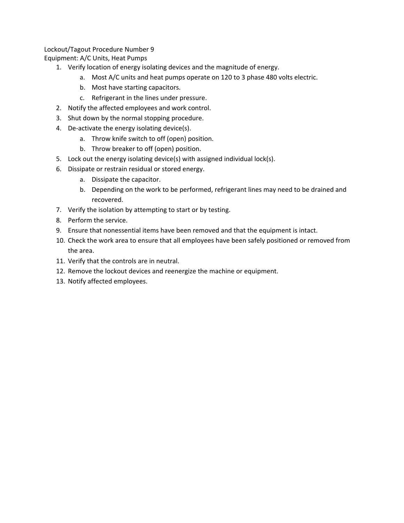Equipment: A/C Units, Heat Pumps

- 1. Verify location of energy isolating devices and the magnitude of energy.
	- a. Most A/C units and heat pumps operate on 120 to 3 phase 480 volts electric.
	- b. Most have starting capacitors.
	- c. Refrigerant in the lines under pressure.
- 2. Notify the affected employees and work control.
- 3. Shut down by the normal stopping procedure.
- 4. De-activate the energy isolating device(s).
	- a. Throw knife switch to off (open) position.
	- b. Throw breaker to off (open) position.
- 5. Lock out the energy isolating device(s) with assigned individual lock(s).
- 6. Dissipate or restrain residual or stored energy.
	- a. Dissipate the capacitor.
	- b. Depending on the work to be performed, refrigerant lines may need to be drained and recovered.
- 7. Verify the isolation by attempting to start or by testing.
- 8. Perform the service.
- 9. Ensure that nonessential items have been removed and that the equipment is intact.
- 10. Check the work area to ensure that all employees have been safely positioned or removed from the area.
- 11. Verify that the controls are in neutral.
- 12. Remove the lockout devices and reenergize the machine or equipment.
- 13. Notify affected employees.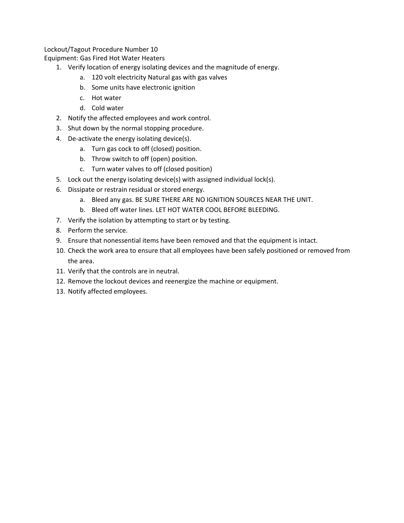Equipment: Gas Fired Hot Water Heaters

- 1. Verify location of energy isolating devices and the magnitude of energy.
	- a. 120 volt electricity Natural gas with gas valves
	- b. Some units have electronic ignition
	- c. Hot water
	- d. Cold water
- 2. Notify the affected employees and work control.
- 3. Shut down by the normal stopping procedure.
- 4. De-activate the energy isolating device(s).
	- a. Turn gas cock to off (closed) position.
	- b. Throw switch to off (open) position.
	- c. Turn water valves to off (closed position)
- 5. Lock out the energy isolating device(s) with assigned individual lock(s).
- 6. Dissipate or restrain residual or stored energy.
	- a. Bleed any gas. BE SURE THERE ARE NO IGNITION SOURCES NEAR THE UNIT.
	- b. Bleed off water lines. LET HOT WATER COOL BEFORE BLEEDING.
- 7. Verify the isolation by attempting to start or by testing.
- 8. Perform the service.
- 9. Ensure that nonessential items have been removed and that the equipment is intact.
- 10. Check the work area to ensure that all employees have been safely positioned or removed from the area.
- 11. Verify that the controls are in neutral.
- 12. Remove the lockout devices and reenergize the machine or equipment.
- 13. Notify affected employees.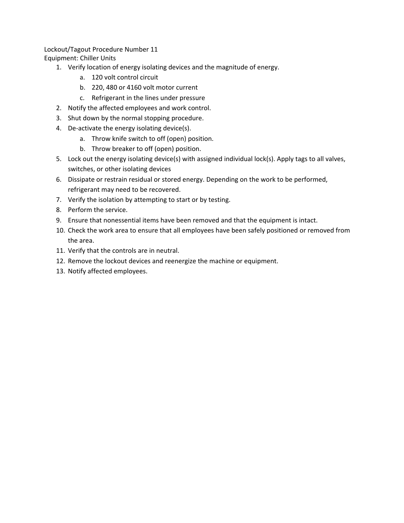Equipment: Chiller Units

- 1. Verify location of energy isolating devices and the magnitude of energy.
	- a. 120 volt control circuit
	- b. 220, 480 or 4160 volt motor current
	- c. Refrigerant in the lines under pressure
- 2. Notify the affected employees and work control.
- 3. Shut down by the normal stopping procedure.
- 4. De-activate the energy isolating device(s).
	- a. Throw knife switch to off (open) position.
	- b. Throw breaker to off (open) position.
- 5. Lock out the energy isolating device(s) with assigned individual lock(s). Apply tags to all valves, switches, or other isolating devices
- 6. Dissipate or restrain residual or stored energy. Depending on the work to be performed, refrigerant may need to be recovered.
- 7. Verify the isolation by attempting to start or by testing.
- 8. Perform the service.
- 9. Ensure that nonessential items have been removed and that the equipment is intact.
- 10. Check the work area to ensure that all employees have been safely positioned or removed from the area.
- 11. Verify that the controls are in neutral.
- 12. Remove the lockout devices and reenergize the machine or equipment.
- 13. Notify affected employees.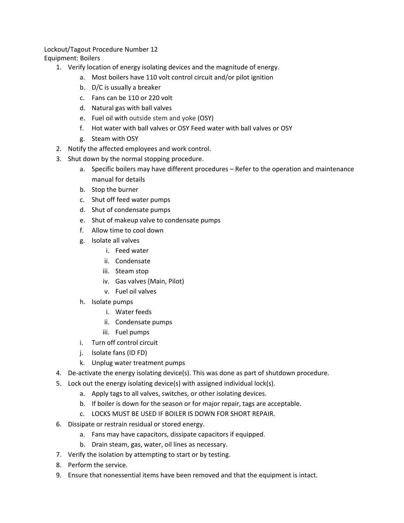#### Lockout/Tagout Procedure Number 12 Equipment: Boilers

- 1. Verify location of energy isolating devices and the magnitude of energy.
	- a. Most boilers have 110 volt control circuit and/or pilot ignition
	- b. D/C is usually a breaker
	- c. Fans can be 110 or 220 volt
	- d. Natural gas with ball valves
	- e. Fuel oil with outside stem and yoke (OSY)
	- f. Hot water with ball valves or OSY Feed water with ball valves or OSY
	- g. Steam with OSY
- 2. Notify the affected employees and work control.
- 3. Shut down by the normal stopping procedure.
	- a. Specific boilers may have different procedures Refer to the operation and maintenance manual for details
	- b. Stop the burner
	- c. Shut off feed water pumps
	- d. Shut of condensate pumps
	- e. Shut of makeup valve to condensate pumps
	- f. Allow time to cool down
	- g. Isolate all valves
		- i. Feed water
		- ii. Condensate
		- iii. Steam stop
		- iv. Gas valves (Main, Pilot)
		- v. Fuel oil valves
	- h. Isolate pumps
		- i. Water feeds
		- ii. Condensate pumps
		- iii. Fuel pumps
	- i. Turn off control circuit
	- j. Isolate fans (ID FD)
	- k. Unplug water treatment pumps
- 4. De-activate the energy isolating device(s). This was done as part of shutdown procedure.
- 5. Lock out the energy isolating device(s) with assigned individual lock(s).
	- a. Apply tags to all valves, switches, or other isolating devices.
	- b. If boiler is down for the season or for major repair, tags are acceptable.
	- c. LOCKS MUST BE USED IF BOILER IS DOWN FOR SHORT REPAIR.
- 6. Dissipate or restrain residual or stored energy.
	- a. Fans may have capacitors, dissipate capacitors if equipped.
	- b. Drain steam, gas, water, oil lines as necessary.
- 7. Verify the isolation by attempting to start or by testing.
- 8. Perform the service.
- 9. Ensure that nonessential items have been removed and that the equipment is intact.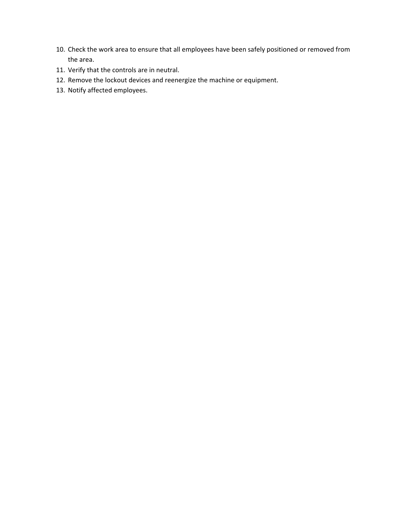- 10. Check the work area to ensure that all employees have been safely positioned or removed from the area.
- 11. Verify that the controls are in neutral.
- 12. Remove the lockout devices and reenergize the machine or equipment.
- 13. Notify affected employees.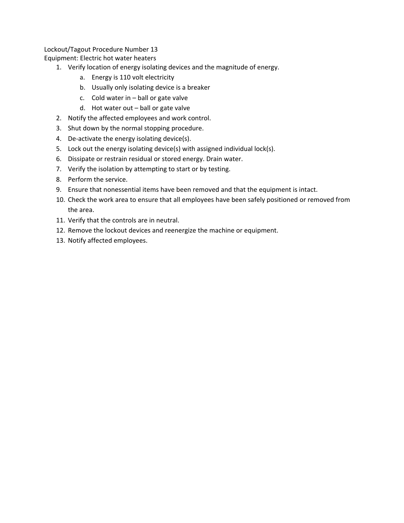Equipment: Electric hot water heaters

- 1. Verify location of energy isolating devices and the magnitude of energy.
	- a. Energy is 110 volt electricity
	- b. Usually only isolating device is a breaker
	- c. Cold water in ball or gate valve
	- d. Hot water out ball or gate valve
- 2. Notify the affected employees and work control.
- 3. Shut down by the normal stopping procedure.
- 4. De-activate the energy isolating device(s).
- 5. Lock out the energy isolating device(s) with assigned individual lock(s).
- 6. Dissipate or restrain residual or stored energy. Drain water.
- 7. Verify the isolation by attempting to start or by testing.
- 8. Perform the service.
- 9. Ensure that nonessential items have been removed and that the equipment is intact.
- 10. Check the work area to ensure that all employees have been safely positioned or removed from the area.
- 11. Verify that the controls are in neutral.
- 12. Remove the lockout devices and reenergize the machine or equipment.
- 13. Notify affected employees.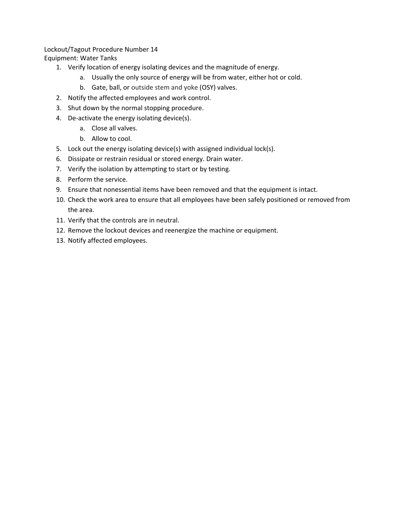Equipment: Water Tanks

- 1. Verify location of energy isolating devices and the magnitude of energy.
	- a. Usually the only source of energy will be from water, either hot or cold.
	- b. Gate, ball, or outside stem and yoke (OSY) valves.
- 2. Notify the affected employees and work control.
- 3. Shut down by the normal stopping procedure.
- 4. De-activate the energy isolating device(s).
	- a. Close all valves.
	- b. Allow to cool.
- 5. Lock out the energy isolating device(s) with assigned individual lock(s).
- 6. Dissipate or restrain residual or stored energy. Drain water.
- 7. Verify the isolation by attempting to start or by testing.
- 8. Perform the service.
- 9. Ensure that nonessential items have been removed and that the equipment is intact.
- 10. Check the work area to ensure that all employees have been safely positioned or removed from the area.
- 11. Verify that the controls are in neutral.
- 12. Remove the lockout devices and reenergize the machine or equipment.
- 13. Notify affected employees.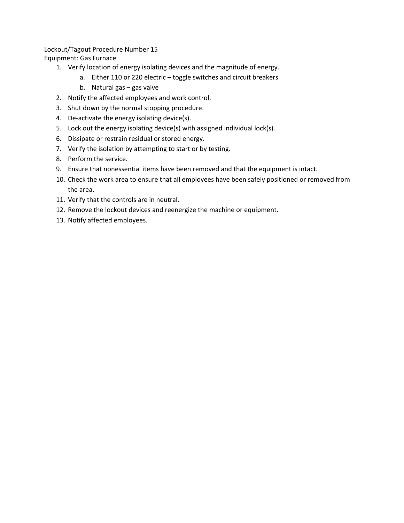Equipment: Gas Furnace

- 1. Verify location of energy isolating devices and the magnitude of energy.
	- a. Either 110 or 220 electric toggle switches and circuit breakers
	- b. Natural gas gas valve
- 2. Notify the affected employees and work control.
- 3. Shut down by the normal stopping procedure.
- 4. De-activate the energy isolating device(s).
- 5. Lock out the energy isolating device(s) with assigned individual lock(s).
- 6. Dissipate or restrain residual or stored energy.
- 7. Verify the isolation by attempting to start or by testing.
- 8. Perform the service.
- 9. Ensure that nonessential items have been removed and that the equipment is intact.
- 10. Check the work area to ensure that all employees have been safely positioned or removed from the area.
- 11. Verify that the controls are in neutral.
- 12. Remove the lockout devices and reenergize the machine or equipment.
- 13. Notify affected employees.